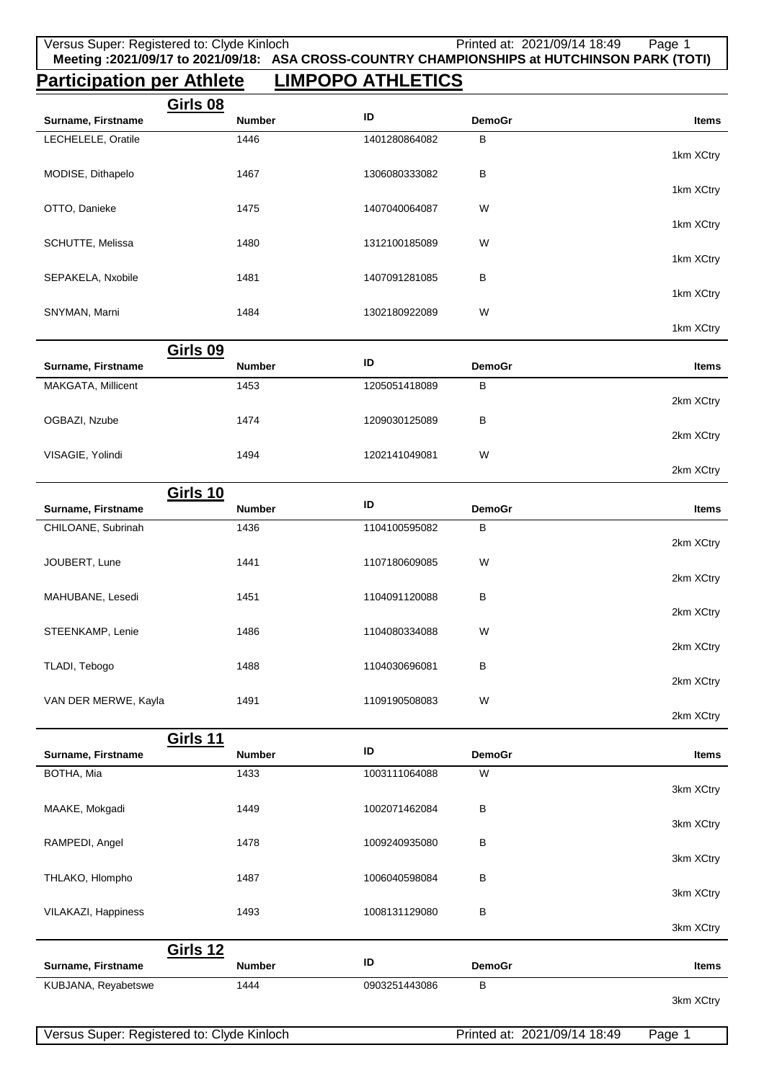## **Participation per Athlete LIMPOPO ATHLETICS**

|                    | Girls 08      |               |                   |              |
|--------------------|---------------|---------------|-------------------|--------------|
| Surname, Firstname | <b>Number</b> | ID            | <b>DemoGr</b>     | <b>Items</b> |
| LECHELELE, Oratile | 1446          | 1401280864082 | в                 |              |
|                    |               |               |                   | 1km XCtry    |
| MODISE, Dithapelo  | 1467          | 1306080333082 | В                 |              |
|                    |               |               |                   | 1km XCtry    |
| OTTO, Danieke      | 1475          | 1407040064087 | W                 |              |
|                    |               |               |                   | 1km XCtry    |
| SCHUTTE, Melissa   | 1480          | 1312100185089 | W                 | 1km XCtry    |
| SEPAKELA, Nxobile  | 1481          | 1407091281085 | В                 |              |
|                    |               |               |                   | 1km XCtry    |
| SNYMAN, Marni      | 1484          | 1302180922089 | W                 |              |
|                    |               |               |                   | 1km XCtry    |
|                    | Girls 09      |               |                   |              |
| Surname, Firstname | <b>Number</b> | ID            | <b>DemoGr</b>     | <b>Items</b> |
|                    | 1.150         | 1005051110000 | $\mathbf{\Gamma}$ |              |

| MAKGATA, Millicent | 1453 | 1205051418089 | в |           |
|--------------------|------|---------------|---|-----------|
|                    |      |               |   | 2km XCtry |
| OGBAZI, Nzube      | 1474 | 1209030125089 | В |           |
|                    |      |               |   | 2km XCtry |
| VISAGIE, Yolindi   | 1494 | 1202141049081 | W |           |
|                    |      |               |   | 2km XCtry |

|                      | Girls 10      |               |               |           |
|----------------------|---------------|---------------|---------------|-----------|
| Surname, Firstname   | <b>Number</b> | ID            | <b>DemoGr</b> | Items     |
| CHILOANE, Subrinah   | 1436          | 1104100595082 | B             |           |
|                      |               |               |               | 2km XCtry |
| JOUBERT, Lune        | 1441          | 1107180609085 | W             |           |
|                      |               |               |               | 2km XCtry |
| MAHUBANE, Lesedi     | 1451          | 1104091120088 | B             |           |
|                      |               |               |               | 2km XCtry |
| STEENKAMP, Lenie     | 1486          | 1104080334088 | W             |           |
|                      |               |               |               | 2km XCtry |
| TLADI, Tebogo        | 1488          | 1104030696081 | B             |           |
|                      |               |               |               | 2km XCtry |
| VAN DER MERWE, Kayla | 1491          | 1109190508083 | W             |           |

|                     | Girls 11      |               |               |              |
|---------------------|---------------|---------------|---------------|--------------|
| Surname, Firstname  | <b>Number</b> | ID            | <b>DemoGr</b> | <b>Items</b> |
| BOTHA, Mia          | 1433          | 1003111064088 | W             |              |
|                     |               |               |               | 3km XCtry    |
| MAAKE, Mokgadi      | 1449          | 1002071462084 | В             |              |
|                     |               |               |               | 3km XCtry    |
| RAMPEDI, Angel      | 1478          | 1009240935080 | В             |              |
|                     |               |               |               | 3km XCtry    |
| THLAKO, Hlompho     | 1487          | 1006040598084 | В             |              |
|                     |               |               |               | 3km XCtry    |
| VILAKAZI, Happiness | 1493          | 1008131129080 | В             | 3km XCtry    |
|                     |               |               |               |              |
|                     | Girls 12      |               |               |              |
| Surname, Firstname  | <b>Number</b> | ID            | <b>DemoGr</b> | <b>Items</b> |
| KUBJANA, Reyabetswe | 1444          | 0903251443086 | В             |              |
|                     |               |               |               | 3km XCtry    |

2km XCtry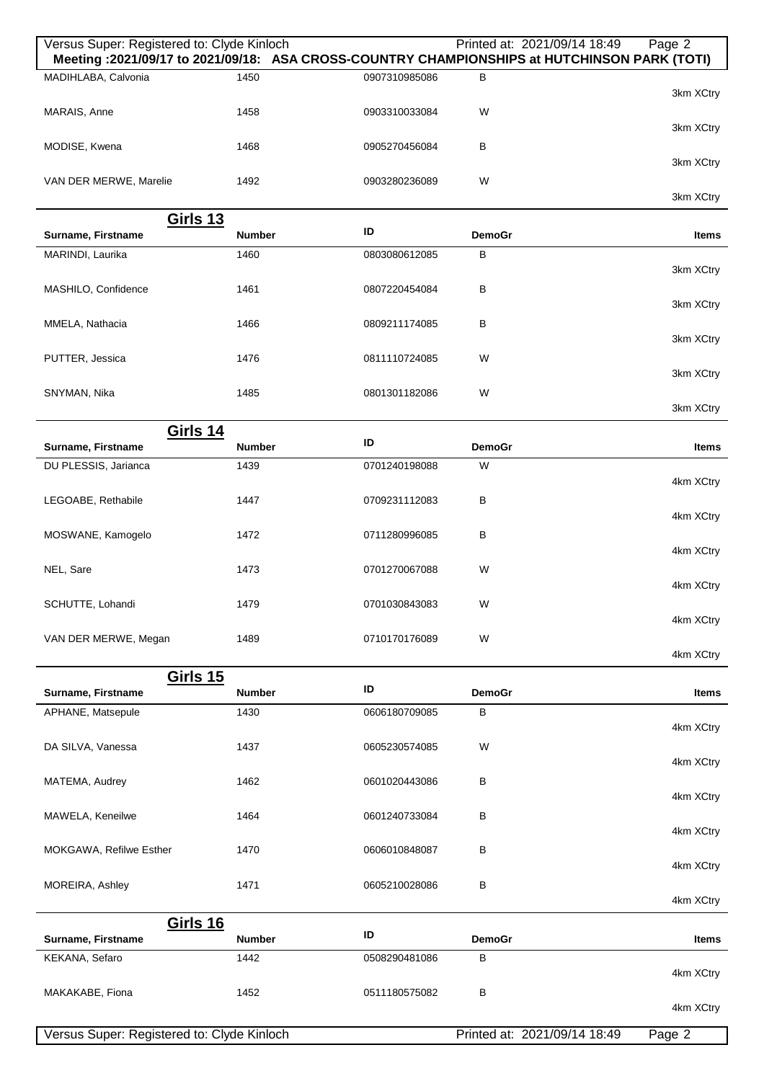| Versus Super: Registered to: Clyde Kinloch |                       |               |                    | Printed at: 2021/09/14 18:49<br>Page 2<br>Meeting :2021/09/17 to 2021/09/18: ASA CROSS-COUNTRY CHAMPIONSHIPS at HUTCHINSON PARK (TOTI) |
|--------------------------------------------|-----------------------|---------------|--------------------|----------------------------------------------------------------------------------------------------------------------------------------|
| MADIHLABA, Calvonia                        | 1450                  | 0907310985086 | B                  | 3km XCtry                                                                                                                              |
| MARAIS, Anne                               | 1458                  | 0903310033084 | W                  | 3km XCtry                                                                                                                              |
| MODISE, Kwena                              | 1468                  | 0905270456084 | B                  |                                                                                                                                        |
| VAN DER MERWE, Marelie                     | 1492                  | 0903280236089 | W                  | 3km XCtry                                                                                                                              |
|                                            |                       |               |                    | 3km XCtry                                                                                                                              |
| <b>Girls 13</b><br>Surname, Firstname      | <b>Number</b>         | ID            | <b>DemoGr</b>      | Items                                                                                                                                  |
| MARINDI, Laurika                           | 1460                  | 0803080612085 | в                  | 3km XCtry                                                                                                                              |
| MASHILO, Confidence                        | 1461                  | 0807220454084 | В                  | 3km XCtry                                                                                                                              |
| MMELA, Nathacia                            | 1466                  | 0809211174085 | В                  |                                                                                                                                        |
| PUTTER, Jessica                            | 1476                  | 0811110724085 | W                  | 3km XCtry                                                                                                                              |
| SNYMAN, Nika                               | 1485                  | 0801301182086 | W                  | 3km XCtry                                                                                                                              |
|                                            |                       |               |                    | 3km XCtry                                                                                                                              |
| <b>Girls 14</b>                            |                       | ID            |                    |                                                                                                                                        |
| Surname, Firstname<br>DU PLESSIS, Jarianca | <b>Number</b><br>1439 | 0701240198088 | <b>DemoGr</b><br>W | Items                                                                                                                                  |
|                                            |                       |               |                    | 4km XCtry                                                                                                                              |
| LEGOABE, Rethabile                         | 1447                  | 0709231112083 | В                  | 4km XCtry                                                                                                                              |
| MOSWANE, Kamogelo                          | 1472                  | 0711280996085 | В                  | 4km XCtry                                                                                                                              |
| NEL, Sare                                  | 1473                  | 0701270067088 | W                  | 4km XCtry                                                                                                                              |
| SCHUTTE, Lohandi                           | 1479                  | 0701030843083 | W                  | 4km XCtry                                                                                                                              |
| VAN DER MERWE, Megan                       | 1489                  | 0710170176089 | W                  |                                                                                                                                        |
|                                            |                       |               |                    | 4km XCtry                                                                                                                              |
| <b>Girls 15</b><br>Surname, Firstname      | <b>Number</b>         | ID            | <b>DemoGr</b>      | Items                                                                                                                                  |
| APHANE, Matsepule                          | 1430                  | 0606180709085 | в                  | 4km XCtry                                                                                                                              |
| DA SILVA, Vanessa                          | 1437                  | 0605230574085 | W                  |                                                                                                                                        |
| MATEMA, Audrey                             | 1462                  | 0601020443086 | в                  | 4km XCtry                                                                                                                              |
| MAWELA, Keneilwe                           | 1464                  | 0601240733084 | B                  | 4km XCtry                                                                                                                              |
| MOKGAWA, Refilwe Esther                    | 1470                  | 0606010848087 | в                  | 4km XCtry                                                                                                                              |
|                                            | 1471                  | 0605210028086 | В                  | 4km XCtry                                                                                                                              |
| MOREIRA, Ashley                            |                       |               |                    | 4km XCtry                                                                                                                              |
| <b>Girls 16</b><br>Surname, Firstname      | <b>Number</b>         | ID            | <b>DemoGr</b>      | Items                                                                                                                                  |
| KEKANA, Sefaro                             | 1442                  | 0508290481086 | в                  |                                                                                                                                        |
| MAKAKABE, Fiona                            | 1452                  | 0511180575082 | B                  | 4km XCtry                                                                                                                              |
|                                            |                       |               |                    | 4km XCtry                                                                                                                              |
| Versus Super: Registered to: Clyde Kinloch |                       |               |                    | Printed at: 2021/09/14 18:49<br>Page 2                                                                                                 |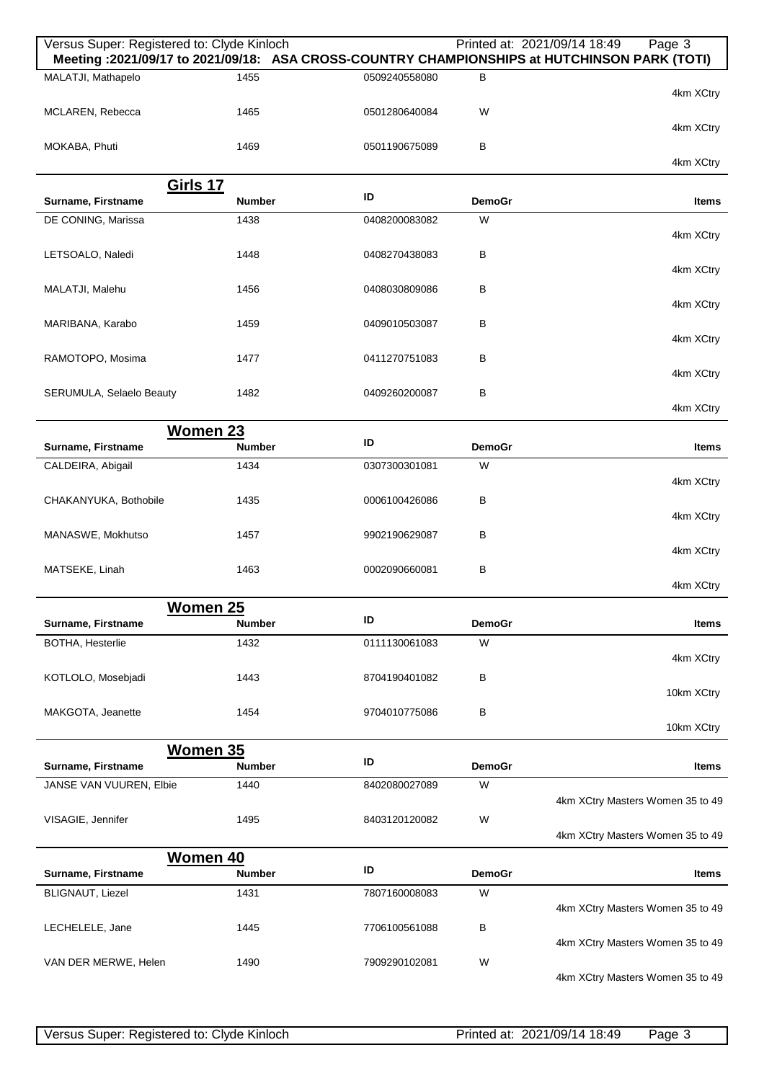| Versus Super: Registered to: Clyde Kinloch    |               |               |               | Printed at: 2021/09/14 18:49<br>Page 3<br>Meeting: 2021/09/17 to 2021/09/18: ASA CROSS-COUNTRY CHAMPIONSHIPS at HUTCHINSON PARK (TOTI) |
|-----------------------------------------------|---------------|---------------|---------------|----------------------------------------------------------------------------------------------------------------------------------------|
| MALATJI, Mathapelo                            | 1455          | 0509240558080 | B             | 4km XCtry                                                                                                                              |
| MCLAREN, Rebecca                              | 1465          | 0501280640084 | W             | 4km XCtry                                                                                                                              |
| MOKABA, Phuti                                 | 1469          | 0501190675089 | В             | 4km XCtry                                                                                                                              |
| <u>Girls 17</u>                               |               |               |               |                                                                                                                                        |
| Surname, Firstname                            | <b>Number</b> | ID            | <b>DemoGr</b> | <b>Items</b>                                                                                                                           |
| DE CONING, Marissa                            | 1438          | 0408200083082 | W             |                                                                                                                                        |
| LETSOALO, Naledi                              | 1448          | 0408270438083 | В             | 4km XCtry                                                                                                                              |
|                                               |               |               |               | 4km XCtry                                                                                                                              |
| MALATJI, Malehu                               | 1456          | 0408030809086 | В             | 4km XCtry                                                                                                                              |
| MARIBANA, Karabo                              | 1459          | 0409010503087 | В             |                                                                                                                                        |
|                                               |               |               |               | 4km XCtry                                                                                                                              |
| RAMOTOPO, Mosima                              | 1477          | 0411270751083 | В             | 4km XCtry                                                                                                                              |
| SERUMULA, Selaelo Beauty                      | 1482          | 0409260200087 | В             | 4km XCtry                                                                                                                              |
| <b>Women 23</b>                               |               |               |               |                                                                                                                                        |
| Surname, Firstname                            | <b>Number</b> | ID            | <b>DemoGr</b> | Items                                                                                                                                  |
| CALDEIRA, Abigail                             | 1434          | 0307300301081 | W             | 4km XCtry                                                                                                                              |
| CHAKANYUKA, Bothobile                         | 1435          | 0006100426086 | В             |                                                                                                                                        |
|                                               |               |               |               | 4km XCtry                                                                                                                              |
| MANASWE, Mokhutso                             | 1457          | 9902190629087 | В             | 4km XCtry                                                                                                                              |
| MATSEKE, Linah                                | 1463          | 0002090660081 | В             | 4km XCtry                                                                                                                              |
|                                               |               |               |               |                                                                                                                                        |
| Women 25<br>Surname, Firstname                | <b>Number</b> | ID            | <b>DemoGr</b> | Items                                                                                                                                  |
| <b>BOTHA, Hesterlie</b>                       | 1432          | 0111130061083 | W             | 4km XCtry                                                                                                                              |
| KOTLOLO, Mosebjadi                            | 1443          | 8704190401082 | В             |                                                                                                                                        |
|                                               |               |               |               | 10km XCtry                                                                                                                             |
| MAKGOTA, Jeanette                             | 1454          | 9704010775086 | B             | 10km XCtry                                                                                                                             |
| <b>Women 35</b>                               |               |               |               |                                                                                                                                        |
| Surname, Firstname                            | <b>Number</b> | ID            | <b>DemoGr</b> | <b>Items</b>                                                                                                                           |
| JANSE VAN VUUREN, Elbie                       | 1440          | 8402080027089 | W             | 4km XCtry Masters Women 35 to 49                                                                                                       |
| VISAGIE, Jennifer                             | 1495          | 8403120120082 | W             |                                                                                                                                        |
|                                               |               |               |               | 4km XCtry Masters Women 35 to 49                                                                                                       |
| <b>Women 40</b>                               | <b>Number</b> | ID            | <b>DemoGr</b> |                                                                                                                                        |
| Surname, Firstname<br><b>BLIGNAUT, Liezel</b> | 1431          | 7807160008083 | W             | Items                                                                                                                                  |
|                                               |               |               |               | 4km XCtry Masters Women 35 to 49                                                                                                       |
| LECHELELE, Jane                               | 1445          | 7706100561088 | В             | 4km XCtry Masters Women 35 to 49                                                                                                       |
| VAN DER MERWE, Helen                          | 1490          | 7909290102081 | W             | 4km XCtry Masters Women 35 to 49                                                                                                       |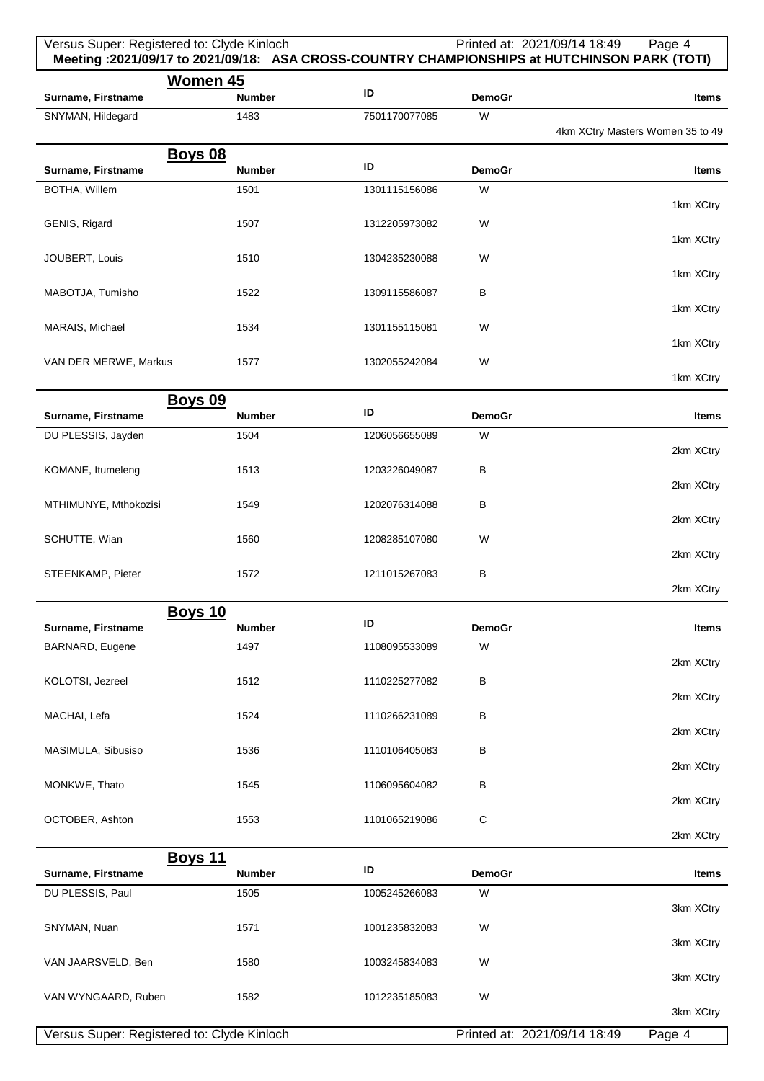| Versus Super: Registered to: Clyde Kinloch | Meeting: 2021/09/17 to 2021/09/18: ASA CROSS-COUNTRY CHAMPIONSHIPS at HUTCHINSON PARK (TOTI) |                     |                    | Printed at: 2021/09/14 18:49 | Page 4                           |
|--------------------------------------------|----------------------------------------------------------------------------------------------|---------------------|--------------------|------------------------------|----------------------------------|
| Surname, Firstname<br>SNYMAN, Hildegard    | <b>Women 45</b><br><b>Number</b><br>1483                                                     | ID<br>7501170077085 | <b>DemoGr</b><br>W |                              | Items                            |
|                                            |                                                                                              |                     |                    |                              | 4km XCtry Masters Women 35 to 49 |
|                                            | <b>Boys 08</b>                                                                               | ID                  |                    |                              |                                  |
| Surname, Firstname                         | <b>Number</b>                                                                                |                     | <b>DemoGr</b>      |                              | Items                            |
| BOTHA, Willem                              | 1501                                                                                         | 1301115156086       | W                  |                              | 1km XCtry                        |
| GENIS, Rigard                              | 1507                                                                                         | 1312205973082       | W                  |                              | 1km XCtry                        |
| JOUBERT, Louis                             | 1510                                                                                         | 1304235230088       | W                  |                              | 1km XCtry                        |
| MABOTJA, Tumisho                           | 1522                                                                                         | 1309115586087       | B                  |                              | 1km XCtry                        |
| MARAIS, Michael                            | 1534                                                                                         | 1301155115081       | W                  |                              | 1km XCtry                        |
| VAN DER MERWE, Markus                      | 1577                                                                                         | 1302055242084       | W                  |                              | 1km XCtry                        |
|                                            | <b>Boys 09</b>                                                                               |                     |                    |                              |                                  |
| Surname, Firstname                         | <b>Number</b>                                                                                | ID                  | <b>DemoGr</b>      |                              | Items                            |
| DU PLESSIS, Jayden                         | 1504                                                                                         | 1206056655089       | W                  |                              | 2km XCtry                        |
| KOMANE, Itumeleng                          | 1513                                                                                         | 1203226049087       | B                  |                              | 2km XCtry                        |
| MTHIMUNYE, Mthokozisi                      | 1549                                                                                         | 1202076314088       | В                  |                              | 2km XCtry                        |
| SCHUTTE, Wian                              | 1560                                                                                         | 1208285107080       | W                  |                              | 2km XCtry                        |
| STEENKAMP, Pieter                          | 1572                                                                                         | 1211015267083       | В                  |                              | 2km XCtry                        |
| Surname, Firstname                         | <b>Boys 10</b><br><b>Number</b>                                                              | ID                  | <b>DemoGr</b>      |                              | <b>Items</b>                     |
| BARNARD, Eugene                            | 1497                                                                                         | 1108095533089       | W                  |                              |                                  |
| KOLOTSI, Jezreel                           | 1512                                                                                         | 1110225277082       | В                  |                              | 2km XCtry                        |
|                                            |                                                                                              |                     |                    |                              | 2km XCtry                        |
| MACHAI, Lefa                               | 1524                                                                                         | 1110266231089       | в                  |                              | 2km XCtry                        |
| MASIMULA, Sibusiso                         | 1536                                                                                         | 1110106405083       | В                  |                              | 2km XCtry                        |
| MONKWE, Thato                              | 1545                                                                                         | 1106095604082       | в                  |                              | 2km XCtry                        |
| OCTOBER, Ashton                            | 1553                                                                                         | 1101065219086       | C                  |                              | 2km XCtry                        |
| Surname, Firstname                         | <u>Boys 11</u><br><b>Number</b>                                                              | ID                  | <b>DemoGr</b>      |                              | Items                            |
| DU PLESSIS, Paul                           | 1505                                                                                         | 1005245266083       | W                  |                              |                                  |
| SNYMAN, Nuan                               | 1571                                                                                         | 1001235832083       | W                  |                              | 3km XCtry                        |
| VAN JAARSVELD, Ben                         | 1580                                                                                         | 1003245834083       | W                  |                              | 3km XCtry                        |
| VAN WYNGAARD, Ruben                        | 1582                                                                                         | 1012235185083       | W                  |                              | 3km XCtry                        |
|                                            |                                                                                              |                     |                    |                              | 3km XCtry                        |
| Versus Super: Registered to: Clyde Kinloch |                                                                                              |                     |                    | Printed at: 2021/09/14 18:49 | Page 4                           |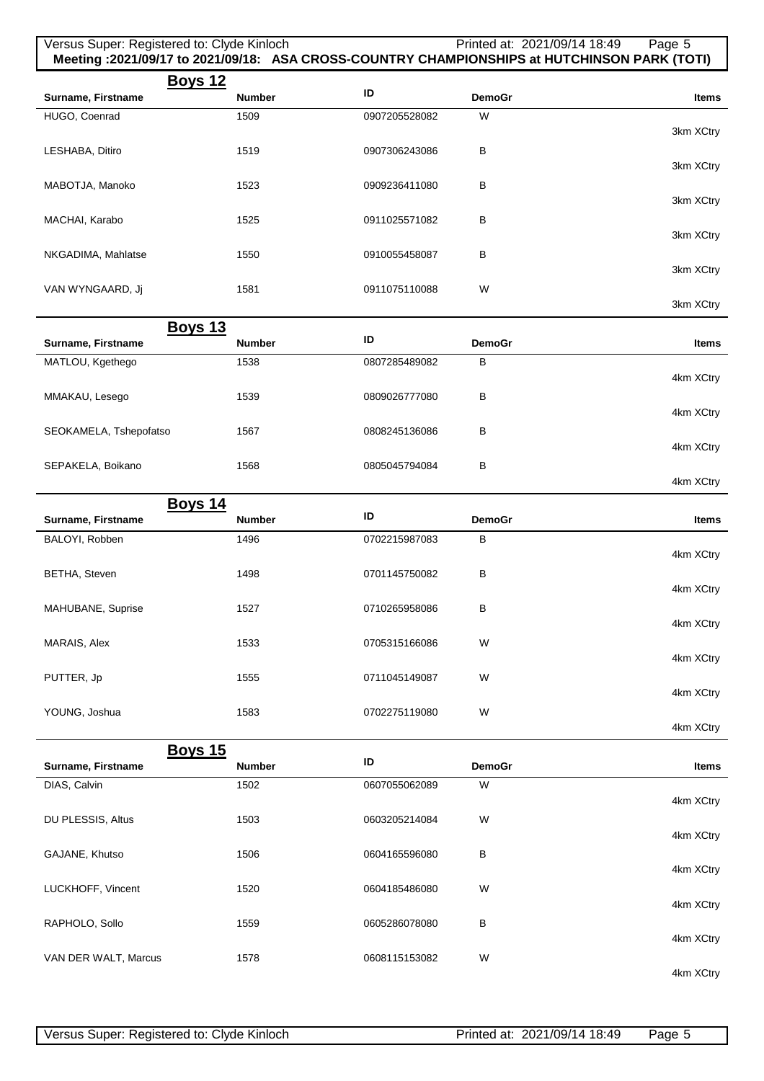| Versus Super: Registered to: Clyde Kinloch |               |               |               | Printed at: 2021/09/14 18:49<br>Page 5<br>Meeting :2021/09/17 to 2021/09/18: ASA CROSS-COUNTRY CHAMPIONSHIPS at HUTCHINSON PARK (TOTI) |
|--------------------------------------------|---------------|---------------|---------------|----------------------------------------------------------------------------------------------------------------------------------------|
| <b>Boys 12</b>                             |               |               |               |                                                                                                                                        |
| Surname, Firstname                         | <b>Number</b> | ID            | <b>DemoGr</b> | Items                                                                                                                                  |
| HUGO, Coenrad                              | 1509          | 0907205528082 | W             | 3km XCtry                                                                                                                              |
| LESHABA, Ditiro                            | 1519          | 0907306243086 | В             |                                                                                                                                        |
| MABOTJA, Manoko                            | 1523          | 0909236411080 | В             | 3km XCtry                                                                                                                              |
|                                            |               |               |               | 3km XCtry                                                                                                                              |
| MACHAI, Karabo                             | 1525          | 0911025571082 | В             | 3km XCtry                                                                                                                              |
| NKGADIMA, Mahlatse                         | 1550          | 0910055458087 | В             | 3km XCtry                                                                                                                              |
| VAN WYNGAARD, Jj                           | 1581          | 0911075110088 | W             |                                                                                                                                        |
|                                            |               |               |               | 3km XCtry                                                                                                                              |
| <u>Boys 13</u><br>Surname, Firstname       | <b>Number</b> | ID            | <b>DemoGr</b> | Items                                                                                                                                  |
| MATLOU, Kgethego                           | 1538          | 0807285489082 | В             |                                                                                                                                        |
|                                            |               |               |               | 4km XCtry                                                                                                                              |
| MMAKAU, Lesego                             | 1539          | 0809026777080 | В             | 4km XCtry                                                                                                                              |
| SEOKAMELA, Tshepofatso                     | 1567          | 0808245136086 | В             | 4km XCtry                                                                                                                              |
| SEPAKELA, Boikano                          | 1568          | 0805045794084 | В             |                                                                                                                                        |
|                                            |               |               |               | 4km XCtry                                                                                                                              |
| <b>Boys 14</b><br>Surname, Firstname       | <b>Number</b> | ID            | <b>DemoGr</b> | Items                                                                                                                                  |
| BALOYI, Robben                             | 1496          | 0702215987083 | В             |                                                                                                                                        |
|                                            |               |               |               | 4km XCtry                                                                                                                              |
| <b>BETHA, Steven</b>                       | 1498          | 0701145750082 | В             | 4km XCtry                                                                                                                              |
| MAHUBANE, Suprise                          | 1527          | 0710265958086 | В             | 4km XCtry                                                                                                                              |
| MARAIS, Alex                               | 1533          | 0705315166086 | W             |                                                                                                                                        |
| PUTTER, Jp                                 | 1555          | 0711045149087 | W             | 4km XCtry                                                                                                                              |
|                                            |               |               |               | 4km XCtry                                                                                                                              |
| YOUNG, Joshua                              | 1583          | 0702275119080 | W             | 4km XCtry                                                                                                                              |
| <b>Boys 15</b>                             |               |               |               |                                                                                                                                        |
| Surname, Firstname                         | Number        | ID            | <b>DemoGr</b> | Items                                                                                                                                  |
| DIAS, Calvin                               | 1502          | 0607055062089 | W             | 4km XCtry                                                                                                                              |
| DU PLESSIS, Altus                          | 1503          | 0603205214084 | W             |                                                                                                                                        |
| GAJANE, Khutso                             | 1506          | 0604165596080 | В             | 4km XCtry                                                                                                                              |
|                                            |               |               |               | 4km XCtry                                                                                                                              |
| LUCKHOFF, Vincent                          | 1520          | 0604185486080 | W             | 4km XCtry                                                                                                                              |
| RAPHOLO, Sollo                             | 1559          | 0605286078080 | В             | 4km XCtry                                                                                                                              |
| VAN DER WALT, Marcus                       | 1578          | 0608115153082 | W             | 4km XCtry                                                                                                                              |
|                                            |               |               |               |                                                                                                                                        |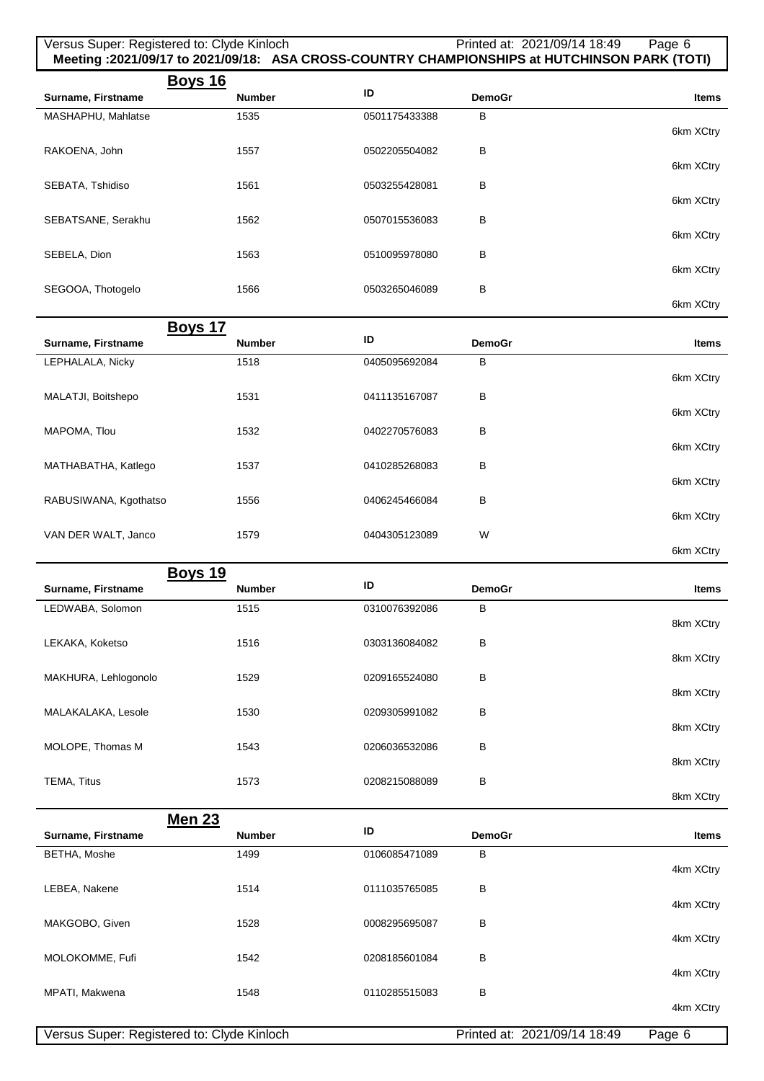| Versus Super: Registered to: Clyde Kinloch |               |               |               | Printed at: 2021/09/14 18:49<br>Page 6<br>Meeting :2021/09/17 to 2021/09/18: ASA CROSS-COUNTRY CHAMPIONSHIPS at HUTCHINSON PARK (TOTI) |
|--------------------------------------------|---------------|---------------|---------------|----------------------------------------------------------------------------------------------------------------------------------------|
| <b>Boys 16</b><br>Surname, Firstname       | <b>Number</b> | ID            | <b>DemoGr</b> | <b>Items</b>                                                                                                                           |
| MASHAPHU, Mahlatse                         | 1535          | 0501175433388 | В             |                                                                                                                                        |
|                                            |               |               |               | 6km XCtry                                                                                                                              |
| RAKOENA, John                              | 1557          | 0502205504082 | в             | 6km XCtry                                                                                                                              |
| SEBATA, Tshidiso                           | 1561          | 0503255428081 | В             |                                                                                                                                        |
|                                            |               |               |               | 6km XCtry                                                                                                                              |
| SEBATSANE, Serakhu                         | 1562          | 0507015536083 | в             | 6km XCtry                                                                                                                              |
| SEBELA, Dion                               | 1563          | 0510095978080 | в             |                                                                                                                                        |
|                                            |               |               |               | 6km XCtry                                                                                                                              |
| SEGOOA, Thotogelo                          | 1566          | 0503265046089 | В             | 6km XCtry                                                                                                                              |
| <b>Boys 17</b>                             |               |               |               |                                                                                                                                        |
| Surname, Firstname                         | <b>Number</b> | ID            | <b>DemoGr</b> | Items                                                                                                                                  |
| LEPHALALA, Nicky                           | 1518          | 0405095692084 | в             |                                                                                                                                        |
| MALATJI, Boitshepo                         | 1531          | 0411135167087 | В             | 6km XCtry                                                                                                                              |
|                                            |               |               |               | 6km XCtry                                                                                                                              |
| MAPOMA, Tlou                               | 1532          | 0402270576083 | В             |                                                                                                                                        |
| MATHABATHA, Katlego                        | 1537          | 0410285268083 | в             | 6km XCtry                                                                                                                              |
|                                            |               |               |               | 6km XCtry                                                                                                                              |
| RABUSIWANA, Kgothatso                      | 1556          | 0406245466084 | в             |                                                                                                                                        |
| VAN DER WALT, Janco                        | 1579          | 0404305123089 | W             | 6km XCtry                                                                                                                              |
|                                            |               |               |               | 6km XCtry                                                                                                                              |
| <b>Boys 19</b>                             |               |               |               |                                                                                                                                        |
| Surname, Firstname                         | <b>Number</b> | ID            | <b>DemoGr</b> | Items                                                                                                                                  |
| LEDWABA, Solomon                           | 1515          | 0310076392086 | B             | 8km XCtry                                                                                                                              |
| LEKAKA, Koketso                            | 1516          | 0303136084082 | в             |                                                                                                                                        |
|                                            |               |               |               | 8km XCtry                                                                                                                              |
| MAKHURA, Lehlogonolo                       | 1529          | 0209165524080 | в             | 8km XCtry                                                                                                                              |
| MALAKALAKA, Lesole                         | 1530          | 0209305991082 | в             |                                                                                                                                        |
|                                            |               |               |               | 8km XCtry                                                                                                                              |
| MOLOPE, Thomas M                           | 1543          | 0206036532086 | В             | 8km XCtry                                                                                                                              |
| TEMA, Titus                                | 1573          | 0208215088089 | В             |                                                                                                                                        |
|                                            |               |               |               | 8km XCtry                                                                                                                              |
| <b>Men 23</b><br>Surname, Firstname        | <b>Number</b> | ID            | <b>DemoGr</b> | Items                                                                                                                                  |
| BETHA, Moshe                               | 1499          | 0106085471089 | в             |                                                                                                                                        |
|                                            |               |               |               | 4km XCtry                                                                                                                              |
| LEBEA, Nakene                              | 1514          | 0111035765085 | В             | 4km XCtry                                                                                                                              |
| MAKGOBO, Given                             | 1528          | 0008295695087 | в             |                                                                                                                                        |
|                                            |               |               |               | 4km XCtry                                                                                                                              |
| MOLOKOMME, Fufi                            | 1542          | 0208185601084 | в             | 4km XCtry                                                                                                                              |
| MPATI, Makwena                             | 1548          | 0110285515083 | В             |                                                                                                                                        |
|                                            |               |               |               | 4km XCtry                                                                                                                              |
| Versus Super: Registered to: Clyde Kinloch |               |               |               | Printed at: 2021/09/14 18:49<br>Page 6                                                                                                 |